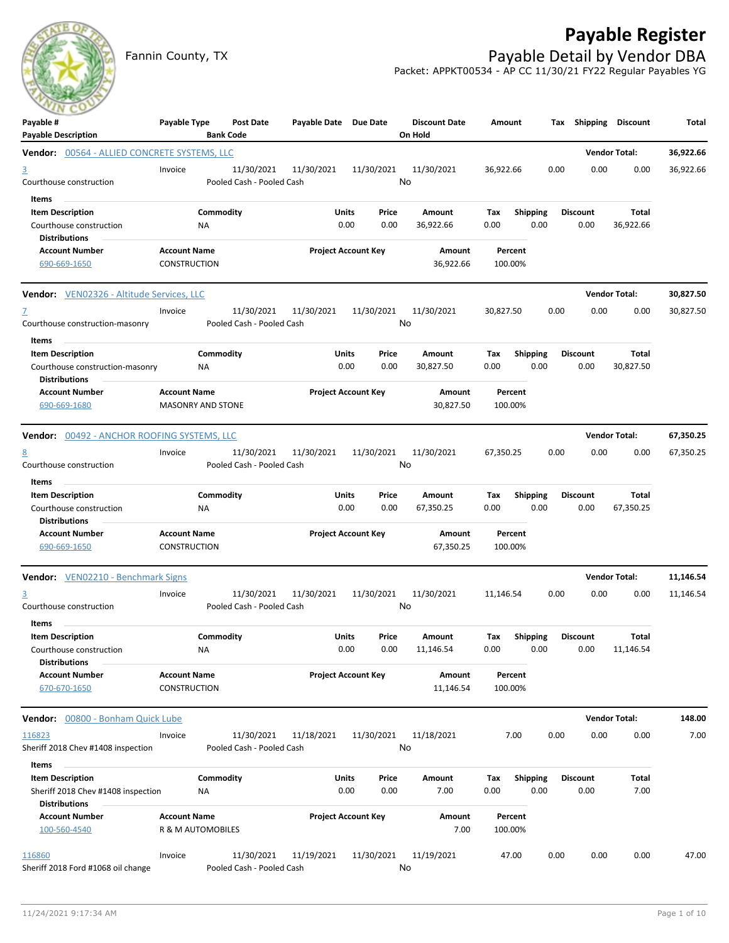## **Payable Register**



Fannin County, TX **Payable Detail by Vendor DBA** Packet: APPKT00534 - AP CC 11/30/21 FY22 Regular Payables YG

| $\sim$ $\sim$<br>Payable #<br><b>Payable Description</b>                                       | Payable Type                               | <b>Post Date</b><br><b>Bank Code</b>    | Payable Date Due Date |                            | <b>Discount Date</b><br>On Hold | Amount             |                         | Tax Shipping Discount   |                      | Total     |
|------------------------------------------------------------------------------------------------|--------------------------------------------|-----------------------------------------|-----------------------|----------------------------|---------------------------------|--------------------|-------------------------|-------------------------|----------------------|-----------|
| <b>Vendor:</b> 00564 - ALLIED CONCRETE SYSTEMS, LLC                                            |                                            |                                         |                       |                            |                                 |                    |                         |                         | <b>Vendor Total:</b> | 36,922.66 |
| <u>3</u><br>Courthouse construction                                                            | Invoice                                    | 11/30/2021<br>Pooled Cash - Pooled Cash | 11/30/2021            | 11/30/2021                 | 11/30/2021<br>No                | 36,922.66          | 0.00                    | 0.00                    | 0.00                 | 36,922.66 |
| Items<br><b>Item Description</b><br>Courthouse construction<br><b>Distributions</b>            |                                            | Commodity<br>ΝA                         | Units                 | Price<br>0.00<br>0.00      | Amount<br>36,922.66             | Тах<br>0.00        | <b>Shipping</b><br>0.00 | <b>Discount</b><br>0.00 | Total<br>36,922.66   |           |
| <b>Account Number</b><br>690-669-1650                                                          | <b>Account Name</b><br>CONSTRUCTION        |                                         |                       | <b>Project Account Key</b> | Amount<br>36,922.66             | Percent<br>100.00% |                         |                         |                      |           |
| Vendor: VEN02326 - Altitude Services, LLC                                                      |                                            |                                         |                       |                            |                                 |                    |                         |                         | <b>Vendor Total:</b> | 30,827.50 |
| Z<br>Courthouse construction-masonry                                                           | Invoice                                    | 11/30/2021<br>Pooled Cash - Pooled Cash | 11/30/2021            | 11/30/2021                 | 11/30/2021<br>No                | 30,827.50          | 0.00                    | 0.00                    | 0.00                 | 30,827.50 |
| Items<br><b>Item Description</b><br>Courthouse construction-masonry<br><b>Distributions</b>    |                                            | Commodity<br>NA.                        | Units                 | Price<br>0.00<br>0.00      | Amount<br>30,827.50             | Тах<br>0.00        | <b>Shipping</b><br>0.00 | <b>Discount</b><br>0.00 | Total<br>30,827.50   |           |
| <b>Account Number</b><br>690-669-1680                                                          | <b>Account Name</b>                        | <b>MASONRY AND STONE</b>                |                       | <b>Project Account Key</b> | Amount<br>30,827.50             | Percent<br>100.00% |                         |                         |                      |           |
| <b>Vendor:</b> 00492 - ANCHOR ROOFING SYSTEMS, LLC                                             |                                            |                                         |                       |                            |                                 |                    |                         |                         | <b>Vendor Total:</b> | 67,350.25 |
| <u>8</u><br>Courthouse construction                                                            | Invoice                                    | 11/30/2021<br>Pooled Cash - Pooled Cash | 11/30/2021            | 11/30/2021                 | 11/30/2021<br>No                | 67,350.25          | 0.00                    | 0.00                    | 0.00                 | 67,350.25 |
| Items<br><b>Item Description</b><br>Courthouse construction<br><b>Distributions</b>            |                                            | Commodity<br>NA                         | Units                 | Price<br>0.00<br>0.00      | Amount<br>67,350.25             | Тах<br>0.00        | <b>Shipping</b><br>0.00 | <b>Discount</b><br>0.00 | Total<br>67,350.25   |           |
| <b>Account Number</b><br>690-669-1650                                                          | <b>Account Name</b><br><b>CONSTRUCTION</b> |                                         |                       | <b>Project Account Key</b> | Amount<br>67,350.25             | Percent<br>100.00% |                         |                         |                      |           |
| <b>Vendor:</b> VEN02210 - Benchmark Signs                                                      |                                            |                                         |                       |                            |                                 |                    |                         |                         | <b>Vendor Total:</b> | 11,146.54 |
| 3<br>Courthouse construction                                                                   | Invoice                                    | 11/30/2021<br>Pooled Cash - Pooled Cash | 11/30/2021            | 11/30/2021                 | 11/30/2021<br>No                | 11,146.54          | 0.00                    | 0.00                    | 0.00                 | 11,146.54 |
| Items<br><b>Item Description</b><br>Courthouse construction                                    |                                            | Commodity<br>NA                         | Units                 | Price<br>0.00<br>0.00      | Amount<br>11,146.54             | Tax<br>0.00        | <b>Shipping</b><br>0.00 | <b>Discount</b><br>0.00 | Total<br>11,146.54   |           |
| <b>Distributions</b><br><b>Account Number</b><br>670-670-1650                                  | <b>Account Name</b><br>CONSTRUCTION        |                                         |                       | <b>Project Account Key</b> | Amount<br>11,146.54             | Percent<br>100.00% |                         |                         |                      |           |
| Vendor: 00800 - Bonham Quick Lube                                                              |                                            |                                         |                       |                            |                                 |                    |                         |                         | <b>Vendor Total:</b> | 148.00    |
| 116823<br>Sheriff 2018 Chev #1408 inspection                                                   | Invoice                                    | 11/30/2021<br>Pooled Cash - Pooled Cash | 11/18/2021            | 11/30/2021                 | 11/18/2021<br>No                | 7.00               | 0.00                    | 0.00                    | 0.00                 | 7.00      |
| Items<br><b>Item Description</b><br>Sheriff 2018 Chev #1408 inspection<br><b>Distributions</b> |                                            | Commodity<br>NA                         | Units                 | Price<br>0.00<br>0.00      | Amount<br>7.00                  | Tax<br>0.00        | <b>Shipping</b><br>0.00 | <b>Discount</b><br>0.00 | Total<br>7.00        |           |
| <b>Account Number</b><br>100-560-4540                                                          | <b>Account Name</b><br>R & M AUTOMOBILES   |                                         |                       | <b>Project Account Key</b> | Amount<br>7.00                  | Percent<br>100.00% |                         |                         |                      |           |
| 116860<br>Sheriff 2018 Ford #1068 oil change                                                   | Invoice                                    | 11/30/2021<br>Pooled Cash - Pooled Cash | 11/19/2021            | 11/30/2021                 | 11/19/2021<br>No                | 47.00              | 0.00                    | 0.00                    | 0.00                 | 47.00     |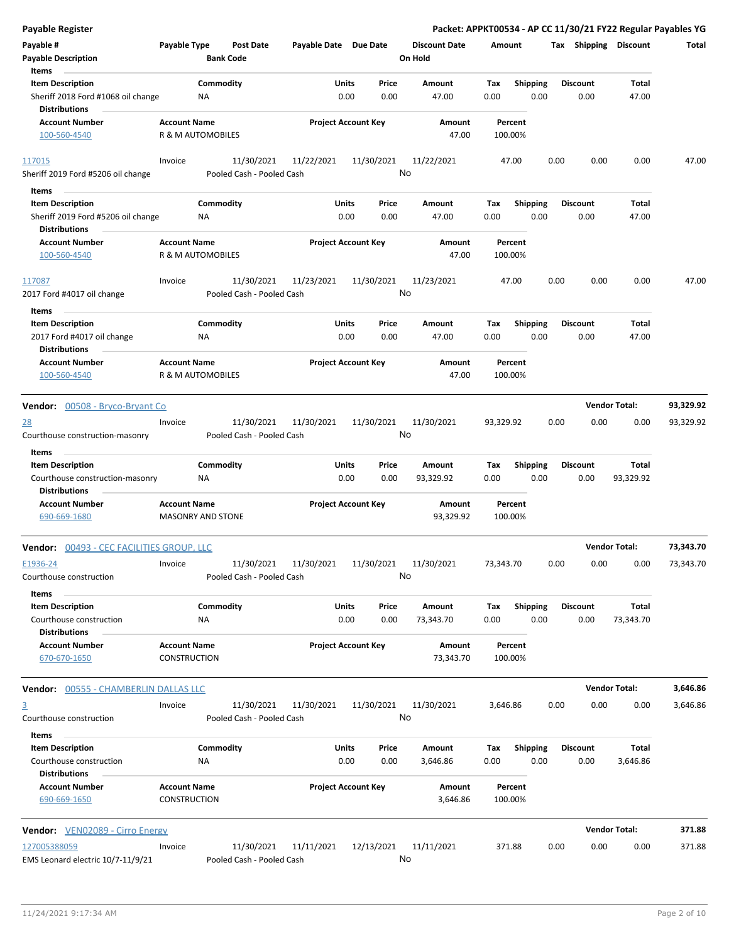| Payable Register                                                                      |                                            |                  |                                         |                            |               |                  |                                 |             |                         |      |                         |                      | Packet: APPKT00534 - AP CC 11/30/21 FY22 Regular Payables YG |
|---------------------------------------------------------------------------------------|--------------------------------------------|------------------|-----------------------------------------|----------------------------|---------------|------------------|---------------------------------|-------------|-------------------------|------|-------------------------|----------------------|--------------------------------------------------------------|
| Payable #<br><b>Payable Description</b>                                               | Payable Type                               | <b>Bank Code</b> | Post Date                               | Payable Date Due Date      |               |                  | <b>Discount Date</b><br>On Hold | Amount      |                         |      | Tax Shipping Discount   |                      | Total                                                        |
| Items                                                                                 |                                            |                  |                                         |                            |               |                  |                                 |             |                         |      |                         |                      |                                                              |
| <b>Item Description</b><br>Sheriff 2018 Ford #1068 oil change                         |                                            | Commodity<br>ΝA  |                                         |                            | Units<br>0.00 | Price<br>0.00    | Amount<br>47.00                 | Tax<br>0.00 | <b>Shipping</b><br>0.00 |      | <b>Discount</b><br>0.00 | Total<br>47.00       |                                                              |
| <b>Distributions</b>                                                                  |                                            |                  |                                         |                            |               |                  |                                 |             |                         |      |                         |                      |                                                              |
| <b>Account Number</b><br>100-560-4540                                                 | <b>Account Name</b><br>R & M AUTOMOBILES   |                  |                                         | <b>Project Account Key</b> |               |                  | Amount<br>47.00                 |             | Percent<br>100.00%      |      |                         |                      |                                                              |
| 117015                                                                                | Invoice                                    |                  | 11/30/2021                              | 11/22/2021                 |               | 11/30/2021       | 11/22/2021                      |             | 47.00                   | 0.00 | 0.00                    | 0.00                 | 47.00                                                        |
| Sheriff 2019 Ford #5206 oil change                                                    |                                            |                  | Pooled Cash - Pooled Cash               |                            |               | No               |                                 |             |                         |      |                         |                      |                                                              |
| Items                                                                                 |                                            |                  |                                         |                            |               |                  |                                 |             |                         |      |                         |                      |                                                              |
| <b>Item Description</b><br>Sheriff 2019 Ford #5206 oil change<br><b>Distributions</b> |                                            | Commodity<br>ΝA  |                                         |                            | Units<br>0.00 | Price<br>0.00    | Amount<br>47.00                 | Tax<br>0.00 | Shipping<br>0.00        |      | <b>Discount</b><br>0.00 | Total<br>47.00       |                                                              |
| <b>Account Number</b>                                                                 | <b>Account Name</b>                        |                  |                                         | <b>Project Account Key</b> |               |                  | Amount                          |             | Percent                 |      |                         |                      |                                                              |
| 100-560-4540                                                                          | R & M AUTOMOBILES                          |                  |                                         |                            |               |                  | 47.00                           |             | 100.00%                 |      |                         |                      |                                                              |
| 117087<br>2017 Ford #4017 oil change                                                  | Invoice                                    |                  | 11/30/2021<br>Pooled Cash - Pooled Cash | 11/23/2021                 |               | 11/30/2021<br>No | 11/23/2021                      |             | 47.00                   | 0.00 | 0.00                    | 0.00                 | 47.00                                                        |
| Items                                                                                 |                                            |                  |                                         |                            |               |                  |                                 |             |                         |      |                         |                      |                                                              |
| <b>Item Description</b>                                                               |                                            | Commodity        |                                         |                            | Units         | Price            | Amount                          | Tax         | <b>Shipping</b>         |      | <b>Discount</b>         | Total                |                                                              |
| 2017 Ford #4017 oil change<br><b>Distributions</b>                                    |                                            | ΝA               |                                         |                            | 0.00          | 0.00             | 47.00                           | 0.00        | 0.00                    |      | 0.00                    | 47.00                |                                                              |
| <b>Account Number</b><br>100-560-4540                                                 | <b>Account Name</b><br>R & M AUTOMOBILES   |                  |                                         | <b>Project Account Key</b> |               |                  | Amount<br>47.00                 |             | Percent<br>100.00%      |      |                         |                      |                                                              |
| <b>Vendor:</b> 00508 - Bryco-Bryant Co                                                |                                            |                  |                                         |                            |               |                  |                                 |             |                         |      |                         | <b>Vendor Total:</b> | 93,329.92                                                    |
| <u>28</u>                                                                             | Invoice                                    |                  | 11/30/2021                              | 11/30/2021                 |               | 11/30/2021       | 11/30/2021                      | 93,329.92   |                         | 0.00 | 0.00                    | 0.00                 | 93,329.92                                                    |
| Courthouse construction-masonry<br>Items                                              |                                            |                  | Pooled Cash - Pooled Cash               |                            |               | No               |                                 |             |                         |      |                         |                      |                                                              |
| <b>Item Description</b><br>Courthouse construction-masonry                            |                                            | Commodity<br>ΝA  |                                         |                            | Units<br>0.00 | Price<br>0.00    | Amount<br>93,329.92             | Tax<br>0.00 | <b>Shipping</b><br>0.00 |      | <b>Discount</b><br>0.00 | Total<br>93,329.92   |                                                              |
| <b>Distributions</b><br><b>Account Number</b>                                         | <b>Account Name</b>                        |                  |                                         | <b>Project Account Key</b> |               |                  | Amount                          |             | Percent                 |      |                         |                      |                                                              |
| 690-669-1680                                                                          | <b>MASONRY AND STONE</b>                   |                  |                                         |                            |               |                  | 93,329.92                       |             | 100.00%                 |      |                         |                      |                                                              |
| <b>Vendor: 00493 - CEC FACILITIES GROUP, LLC</b>                                      |                                            |                  |                                         |                            |               |                  |                                 |             |                         |      |                         | <b>Vendor Total:</b> | 73,343.70                                                    |
| E1936-24<br>Courthouse construction                                                   | Invoice                                    |                  | 11/30/2021<br>Pooled Cash - Pooled Cash | 11/30/2021                 |               | 11/30/2021<br>No | 11/30/2021                      | 73,343.70   |                         | 0.00 | 0.00                    | 0.00                 | 73,343.70                                                    |
| Items                                                                                 |                                            |                  |                                         |                            |               |                  |                                 |             |                         |      |                         |                      |                                                              |
| <b>Item Description</b><br>Courthouse construction<br><b>Distributions</b>            |                                            | Commodity<br>NA  |                                         |                            | Units<br>0.00 | Price<br>0.00    | Amount<br>73,343.70             | Tax<br>0.00 | <b>Shipping</b><br>0.00 |      | <b>Discount</b><br>0.00 | Total<br>73,343.70   |                                                              |
| <b>Account Number</b><br>670-670-1650                                                 | <b>Account Name</b><br>CONSTRUCTION        |                  |                                         | <b>Project Account Key</b> |               |                  | Amount<br>73,343.70             |             | Percent<br>100.00%      |      |                         |                      |                                                              |
| <b>Vendor: 00555 - CHAMBERLIN DALLAS LLC</b>                                          |                                            |                  |                                         |                            |               |                  |                                 |             |                         |      |                         | <b>Vendor Total:</b> | 3,646.86                                                     |
| $\overline{3}$<br>Courthouse construction                                             | Invoice                                    |                  | 11/30/2021<br>Pooled Cash - Pooled Cash | 11/30/2021                 |               | 11/30/2021<br>No | 11/30/2021                      | 3,646.86    |                         | 0.00 | 0.00                    | 0.00                 | 3,646.86                                                     |
| Items                                                                                 |                                            |                  |                                         |                            |               |                  |                                 |             |                         |      |                         |                      |                                                              |
| <b>Item Description</b><br>Courthouse construction                                    |                                            | Commodity<br>ΝA  |                                         |                            | Units<br>0.00 | Price<br>0.00    | Amount<br>3,646.86              | Тах<br>0.00 | <b>Shipping</b><br>0.00 |      | <b>Discount</b><br>0.00 | Total<br>3,646.86    |                                                              |
| <b>Distributions</b><br><b>Account Number</b><br>690-669-1650                         | <b>Account Name</b><br><b>CONSTRUCTION</b> |                  |                                         | <b>Project Account Key</b> |               |                  | Amount<br>3,646.86              |             | Percent<br>100.00%      |      |                         |                      |                                                              |
| <b>Vendor:</b> VEN02089 - Cirro Energy                                                |                                            |                  |                                         |                            |               |                  |                                 |             |                         |      |                         | <b>Vendor Total:</b> | 371.88                                                       |
| 127005388059                                                                          | Invoice                                    |                  | 11/30/2021                              | 11/11/2021                 |               | 12/13/2021       | 11/11/2021                      |             | 371.88                  | 0.00 | 0.00                    | 0.00                 | 371.88                                                       |
| EMS Leonard electric 10/7-11/9/21                                                     |                                            |                  | Pooled Cash - Pooled Cash               |                            |               | No               |                                 |             |                         |      |                         |                      |                                                              |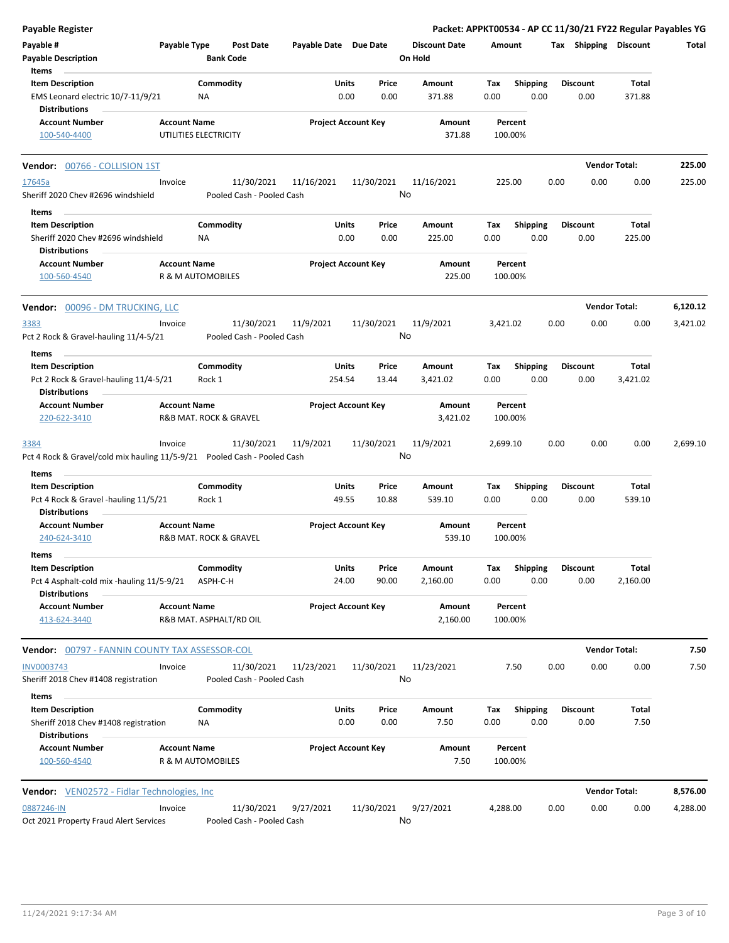| Payable Register                                                                     |                     |                                         |                       |                            |                                 |                    |                         | Packet: APPKT00534 - AP CC 11/30/21 FY22 Regular Payables YG |                        |          |
|--------------------------------------------------------------------------------------|---------------------|-----------------------------------------|-----------------------|----------------------------|---------------------------------|--------------------|-------------------------|--------------------------------------------------------------|------------------------|----------|
| Payable #<br><b>Payable Description</b>                                              | Payable Type        | <b>Post Date</b><br><b>Bank Code</b>    | Payable Date Due Date |                            | <b>Discount Date</b><br>On Hold | Amount             |                         | Tax Shipping Discount                                        |                        | Total    |
| Items                                                                                |                     |                                         |                       |                            |                                 |                    |                         |                                                              |                        |          |
| <b>Item Description</b><br>EMS Leonard electric 10/7-11/9/21<br><b>Distributions</b> |                     | Commodity<br>ΝA                         | Units<br>0.00         | Price<br>0.00              | Amount<br>371.88                | Tax<br>0.00        | <b>Shipping</b><br>0.00 | <b>Discount</b><br>0.00                                      | <b>Total</b><br>371.88 |          |
| <b>Account Number</b><br>100-540-4400                                                | <b>Account Name</b> | UTILITIES ELECTRICITY                   |                       | <b>Project Account Key</b> | Amount<br>371.88                | Percent<br>100.00% |                         |                                                              |                        |          |
| Vendor: 00766 - COLLISION 1ST                                                        |                     |                                         |                       |                            |                                 |                    |                         |                                                              | <b>Vendor Total:</b>   | 225.00   |
| 17645a                                                                               | Invoice             | 11/30/2021                              | 11/16/2021            | 11/30/2021                 | 11/16/2021                      | 225.00             |                         | 0.00<br>0.00                                                 | 0.00                   | 225.00   |
| Sheriff 2020 Chev #2696 windshield                                                   |                     | Pooled Cash - Pooled Cash               |                       |                            | No                              |                    |                         |                                                              |                        |          |
| Items                                                                                |                     |                                         |                       |                            |                                 |                    |                         |                                                              |                        |          |
| <b>Item Description</b><br>Sheriff 2020 Chev #2696 windshield<br>Distributions       |                     | Commodity<br>NA                         | Units<br>0.00         | Price<br>0.00              | Amount<br>225.00                | Tax<br>0.00        | <b>Shipping</b><br>0.00 | <b>Discount</b><br>0.00                                      | Total<br>225.00        |          |
| <b>Account Number</b><br>100-560-4540                                                | <b>Account Name</b> | <b>R &amp; M AUTOMOBILES</b>            |                       | <b>Project Account Key</b> | Amount<br>225.00                | Percent<br>100.00% |                         |                                                              |                        |          |
|                                                                                      |                     |                                         |                       |                            |                                 |                    |                         |                                                              | <b>Vendor Total:</b>   |          |
| Vendor: 00096 - DM TRUCKING, LLC                                                     |                     |                                         |                       |                            |                                 |                    |                         |                                                              |                        | 6,120.12 |
| 3383<br>Pct 2 Rock & Gravel-hauling 11/4-5/21                                        | Invoice             | 11/30/2021<br>Pooled Cash - Pooled Cash | 11/9/2021             | 11/30/2021                 | 11/9/2021<br>No                 | 3,421.02           |                         | 0.00<br>0.00                                                 | 0.00                   | 3,421.02 |
| Items                                                                                |                     |                                         |                       |                            |                                 |                    |                         |                                                              |                        |          |
| <b>Item Description</b>                                                              |                     | Commodity                               | Units                 | Price                      | Amount                          | Tax                | <b>Shipping</b>         | <b>Discount</b>                                              | Total                  |          |
| Pct 2 Rock & Gravel-hauling 11/4-5/21<br><b>Distributions</b>                        |                     | Rock 1                                  | 254.54                | 13.44                      | 3,421.02                        | 0.00               | 0.00                    | 0.00                                                         | 3,421.02               |          |
| <b>Account Number</b><br>220-622-3410                                                | <b>Account Name</b> | R&B MAT. ROCK & GRAVEL                  |                       | <b>Project Account Key</b> | Amount<br>3,421.02              | Percent<br>100.00% |                         |                                                              |                        |          |
| 3384<br>Pct 4 Rock & Gravel/cold mix hauling 11/5-9/21 Pooled Cash - Pooled Cash     | Invoice             | 11/30/2021                              | 11/9/2021             | 11/30/2021                 | 11/9/2021<br>No                 | 2,699.10           |                         | 0.00<br>0.00                                                 | 0.00                   | 2,699.10 |
| Items                                                                                |                     |                                         |                       |                            |                                 |                    |                         |                                                              |                        |          |
| <b>Item Description</b>                                                              |                     | Commodity                               | <b>Units</b>          | Price                      | Amount                          | Tax                | <b>Shipping</b>         | <b>Discount</b>                                              | Total                  |          |
| Pct 4 Rock & Gravel -hauling 11/5/21<br><b>Distributions</b>                         |                     | Rock 1                                  | 49.55                 | 10.88                      | 539.10                          | 0.00               | 0.00                    | 0.00                                                         | 539.10                 |          |
| <b>Account Number</b>                                                                | <b>Account Name</b> |                                         |                       | <b>Project Account Key</b> | Amount                          | Percent            |                         |                                                              |                        |          |
| 240-624-3410                                                                         |                     | <b>R&amp;B MAT. ROCK &amp; GRAVEL</b>   |                       |                            | 539.10                          | 100.00%            |                         |                                                              |                        |          |
| Items<br><b>Item Description</b>                                                     |                     | Commodity                               | Units                 | Price                      | Amount                          | Tax                | Shipping                | <b>Discount</b>                                              | Total                  |          |
| Pct 4 Asphalt-cold mix -hauling 11/5-9/21<br><b>Distributions</b>                    |                     | ASPH-C-H                                | 24.00                 | 90.00                      | 2,160.00                        | 0.00               | 0.00                    | 0.00                                                         | 2,160.00               |          |
| <b>Account Number</b><br>413-624-3440                                                | <b>Account Name</b> | R&B MAT. ASPHALT/RD OIL                 |                       | <b>Project Account Key</b> | Amount<br>2,160.00              | Percent<br>100.00% |                         |                                                              |                        |          |
| <b>Vendor:</b> 00797 - FANNIN COUNTY TAX ASSESSOR-COL                                |                     |                                         |                       |                            |                                 |                    |                         |                                                              | <b>Vendor Total:</b>   | 7.50     |
| <b>INV0003743</b>                                                                    | Invoice             | 11/30/2021                              | 11/23/2021            | 11/30/2021                 | 11/23/2021                      | 7.50               |                         | 0.00<br>0.00                                                 | 0.00                   | 7.50     |
| Sheriff 2018 Chev #1408 registration<br>Items                                        |                     | Pooled Cash - Pooled Cash               |                       |                            | No                              |                    |                         |                                                              |                        |          |
| <b>Item Description</b>                                                              |                     | Commodity                               | Units                 | Price                      | Amount                          | Tax                | <b>Shipping</b>         | <b>Discount</b>                                              | Total                  |          |
| Sheriff 2018 Chev #1408 registration<br><b>Distributions</b>                         |                     | ΝA                                      | 0.00                  | 0.00                       | 7.50                            | 0.00               | 0.00                    | 0.00                                                         | 7.50                   |          |
| <b>Account Number</b><br>100-560-4540                                                | <b>Account Name</b> | R & M AUTOMOBILES                       |                       | <b>Project Account Key</b> | Amount<br>7.50                  | Percent<br>100.00% |                         |                                                              |                        |          |
|                                                                                      |                     |                                         |                       |                            |                                 |                    |                         |                                                              |                        |          |
| <b>Vendor:</b> VEN02572 - Fidlar Technologies, Inc.                                  |                     |                                         |                       |                            |                                 |                    |                         |                                                              | <b>Vendor Total:</b>   | 8,576.00 |
| 0887246-IN<br>Oct 2021 Property Fraud Alert Services                                 | Invoice             | 11/30/2021<br>Pooled Cash - Pooled Cash | 9/27/2021             | 11/30/2021                 | 9/27/2021<br>No                 | 4,288.00           |                         | 0.00<br>0.00                                                 | 0.00                   | 4,288.00 |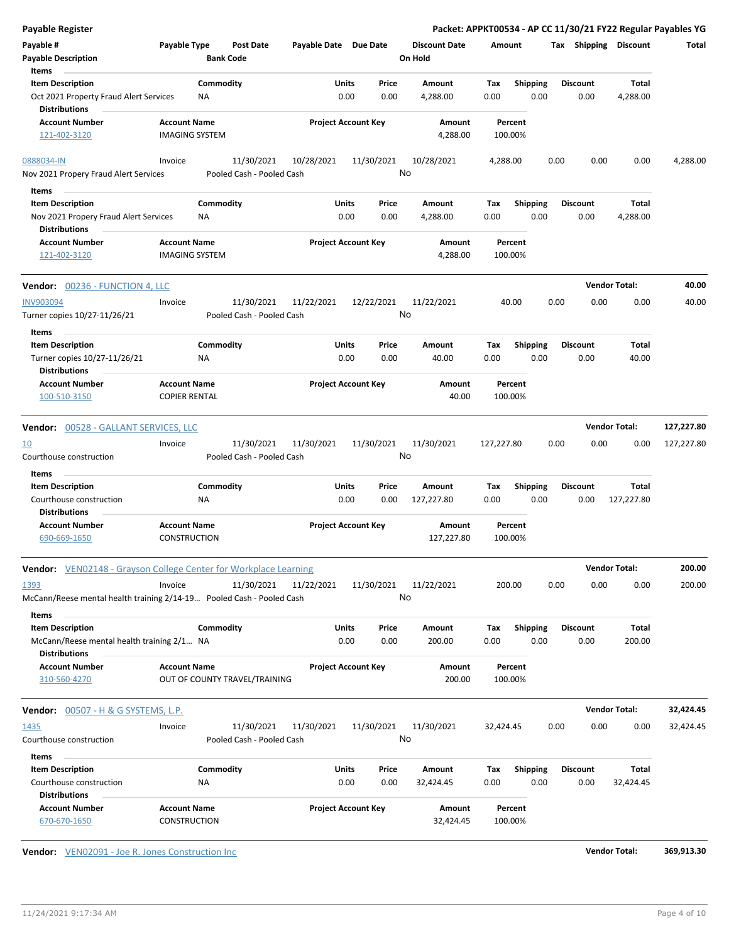| <b>Payable Register</b>                                                 |                               |                           |                       |                            |                      |             |                         | Packet: APPKT00534 - AP CC 11/30/21 FY22 Regular Payables YG |                      |            |
|-------------------------------------------------------------------------|-------------------------------|---------------------------|-----------------------|----------------------------|----------------------|-------------|-------------------------|--------------------------------------------------------------|----------------------|------------|
| Payable #                                                               | Payable Type                  | <b>Post Date</b>          | Payable Date Due Date |                            | <b>Discount Date</b> | Amount      |                         | Tax Shipping Discount                                        |                      | Total      |
| <b>Payable Description</b>                                              |                               | <b>Bank Code</b>          |                       |                            | On Hold              |             |                         |                                                              |                      |            |
| Items                                                                   |                               |                           |                       |                            |                      |             |                         |                                                              |                      |            |
| <b>Item Description</b>                                                 | Commodity                     |                           | Units                 | Price                      | Amount               | Tax         | <b>Shipping</b>         | <b>Discount</b>                                              | Total                |            |
| Oct 2021 Property Fraud Alert Services<br><b>Distributions</b>          | ΝA                            |                           | 0.00                  | 0.00                       | 4,288.00             | 0.00        | 0.00                    | 0.00                                                         | 4,288.00             |            |
| <b>Account Number</b>                                                   | <b>Account Name</b>           |                           |                       | <b>Project Account Key</b> | Amount               | Percent     |                         |                                                              |                      |            |
| 121-402-3120                                                            | <b>IMAGING SYSTEM</b>         |                           |                       |                            | 4,288.00             | 100.00%     |                         |                                                              |                      |            |
| 0888034-IN                                                              | Invoice                       | 11/30/2021                | 10/28/2021            | 11/30/2021                 | 10/28/2021           | 4,288.00    |                         | 0.00<br>0.00                                                 | 0.00                 | 4,288.00   |
| Nov 2021 Propery Fraud Alert Services                                   |                               | Pooled Cash - Pooled Cash |                       |                            | No                   |             |                         |                                                              |                      |            |
| Items                                                                   |                               |                           |                       |                            |                      |             |                         |                                                              |                      |            |
| <b>Item Description</b>                                                 | Commodity                     |                           | Units                 | Price                      | Amount               | Tax         | <b>Shipping</b>         | <b>Discount</b>                                              | Total                |            |
| Nov 2021 Propery Fraud Alert Services                                   | ΝA                            |                           | 0.00                  | 0.00                       | 4,288.00             | 0.00        | 0.00                    | 0.00                                                         | 4,288.00             |            |
| <b>Distributions</b>                                                    |                               |                           |                       |                            |                      |             |                         |                                                              |                      |            |
| <b>Account Number</b>                                                   | <b>Account Name</b>           |                           |                       | <b>Project Account Key</b> | Amount               | Percent     |                         |                                                              |                      |            |
| 121-402-3120                                                            | <b>IMAGING SYSTEM</b>         |                           |                       |                            | 4,288.00             | 100.00%     |                         |                                                              |                      |            |
|                                                                         |                               |                           |                       |                            |                      |             |                         |                                                              |                      |            |
| <b>Vendor: 00236 - FUNCTION 4, LLC</b>                                  |                               |                           |                       |                            |                      |             |                         |                                                              | <b>Vendor Total:</b> | 40.00      |
| <b>INV903094</b>                                                        | Invoice                       | 11/30/2021                | 11/22/2021            | 12/22/2021                 | 11/22/2021           | 40.00       |                         | 0.00<br>0.00                                                 | 0.00                 | 40.00      |
| Turner copies 10/27-11/26/21                                            |                               | Pooled Cash - Pooled Cash |                       |                            | No                   |             |                         |                                                              |                      |            |
| Items                                                                   |                               |                           |                       |                            |                      |             |                         |                                                              |                      |            |
| <b>Item Description</b>                                                 | Commodity                     |                           | Units                 | Price                      | Amount               | Tax         | <b>Shipping</b>         | <b>Discount</b>                                              | Total                |            |
| Turner copies 10/27-11/26/21                                            | ΝA                            |                           | 0.00                  | 0.00                       | 40.00                | 0.00        | 0.00                    | 0.00                                                         | 40.00                |            |
| <b>Distributions</b>                                                    |                               |                           |                       |                            |                      |             |                         |                                                              |                      |            |
| <b>Account Number</b>                                                   | <b>Account Name</b>           |                           |                       | <b>Project Account Key</b> | Amount               | Percent     |                         |                                                              |                      |            |
| 100-510-3150                                                            | <b>COPIER RENTAL</b>          |                           |                       |                            | 40.00                | 100.00%     |                         |                                                              |                      |            |
|                                                                         |                               |                           |                       |                            |                      |             |                         |                                                              | <b>Vendor Total:</b> |            |
| Vendor: 00528 - GALLANT SERVICES, LLC                                   |                               |                           |                       |                            |                      |             |                         |                                                              |                      | 127,227.80 |
| <u>10</u>                                                               | Invoice                       | 11/30/2021                | 11/30/2021            | 11/30/2021                 | 11/30/2021           | 127,227.80  |                         | 0.00<br>0.00                                                 | 0.00                 | 127,227.80 |
| Courthouse construction                                                 |                               | Pooled Cash - Pooled Cash |                       |                            | No                   |             |                         |                                                              |                      |            |
| Items                                                                   |                               |                           |                       |                            |                      |             |                         |                                                              |                      |            |
| <b>Item Description</b>                                                 | Commodity                     |                           | Units                 | Price                      | Amount               | Tax         | <b>Shipping</b>         | <b>Discount</b>                                              | Total                |            |
| Courthouse construction                                                 | ΝA                            |                           | 0.00                  | 0.00                       | 127,227.80           | 0.00        | 0.00                    | 0.00                                                         | 127,227.80           |            |
| <b>Distributions</b>                                                    |                               |                           |                       |                            |                      |             |                         |                                                              |                      |            |
| <b>Account Number</b>                                                   | <b>Account Name</b>           |                           |                       | <b>Project Account Key</b> | Amount               | Percent     |                         |                                                              |                      |            |
| 690-669-1650                                                            | <b>CONSTRUCTION</b>           |                           |                       |                            | 127,227.80           | 100.00%     |                         |                                                              |                      |            |
| <b>Vendor:</b> VEN02148 - Grayson College Center for Workplace Learning |                               |                           |                       |                            |                      |             |                         |                                                              | <b>Vendor Total:</b> | 200.00     |
| 1393                                                                    | Invoice                       | 11/30/2021                | 11/22/2021            | 11/30/2021                 | 11/22/2021           | 200.00      |                         | 0.00<br>0.00                                                 | 0.00                 | 200.00     |
| McCann/Reese mental health training 2/14-19 Pooled Cash - Pooled Cash   |                               |                           |                       |                            | No                   |             |                         |                                                              |                      |            |
|                                                                         |                               |                           |                       |                            |                      |             |                         |                                                              |                      |            |
| Items                                                                   |                               |                           |                       |                            |                      |             |                         |                                                              |                      |            |
| <b>Item Description</b><br>McCann/Reese mental health training 2/1 NA   | Commodity                     |                           | Units<br>0.00         | Price<br>0.00              | Amount<br>200.00     | Tax<br>0.00 | <b>Shipping</b><br>0.00 | <b>Discount</b><br>0.00                                      | Total<br>200.00      |            |
| <b>Distributions</b>                                                    |                               |                           |                       |                            |                      |             |                         |                                                              |                      |            |
| <b>Account Number</b>                                                   | <b>Account Name</b>           |                           |                       | <b>Project Account Key</b> | Amount               | Percent     |                         |                                                              |                      |            |
| 310-560-4270                                                            | OUT OF COUNTY TRAVEL/TRAINING |                           |                       |                            | 200.00               | 100.00%     |                         |                                                              |                      |            |
|                                                                         |                               |                           |                       |                            |                      |             |                         |                                                              |                      |            |
| Vendor: 00507 - H & G SYSTEMS, L.P.                                     |                               |                           |                       |                            |                      |             |                         |                                                              | <b>Vendor Total:</b> | 32,424.45  |
| 1435                                                                    | Invoice                       | 11/30/2021                | 11/30/2021            | 11/30/2021                 | 11/30/2021           | 32,424.45   |                         | 0.00<br>0.00                                                 | 0.00                 | 32,424.45  |
| Courthouse construction                                                 |                               | Pooled Cash - Pooled Cash |                       |                            | No                   |             |                         |                                                              |                      |            |
| Items                                                                   |                               |                           |                       |                            |                      |             |                         |                                                              |                      |            |
| <b>Item Description</b>                                                 | Commodity                     |                           | <b>Units</b>          | Price                      | Amount               | Тах         | <b>Shipping</b>         | <b>Discount</b>                                              | Total                |            |
| Courthouse construction                                                 | ΝA                            |                           | 0.00                  | 0.00                       | 32,424.45            | 0.00        | 0.00                    | 0.00                                                         | 32,424.45            |            |
| <b>Distributions</b>                                                    |                               |                           |                       |                            |                      |             |                         |                                                              |                      |            |
| <b>Account Number</b>                                                   | <b>Account Name</b>           |                           |                       | <b>Project Account Key</b> | Amount               | Percent     |                         |                                                              |                      |            |
| 670-670-1650                                                            | CONSTRUCTION                  |                           |                       |                            | 32,424.45            | 100.00%     |                         |                                                              |                      |            |
|                                                                         |                               |                           |                       |                            |                      |             |                         |                                                              |                      |            |
| Vendor: VEN02091 - Joe R. Jones Construction Inc                        |                               |                           |                       |                            |                      |             |                         |                                                              | <b>Vendor Total:</b> | 369,913.30 |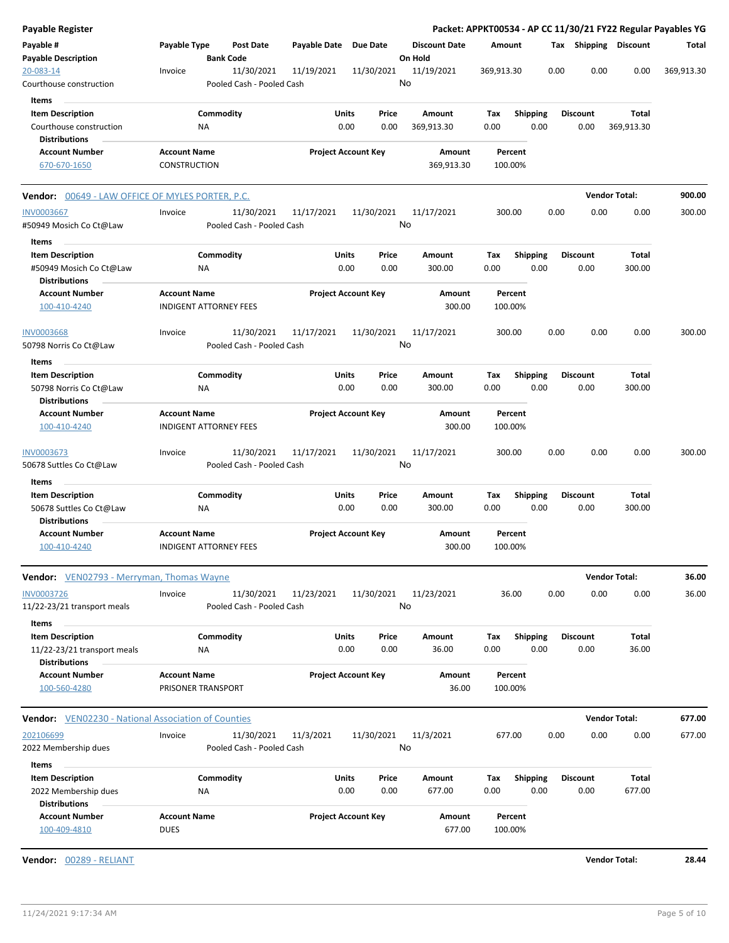| <b>Payable Register</b>                                                    |                                    |                               |                       |                                |                                 |                    |                         |                         |                      | Packet: APPKT00534 - AP CC 11/30/21 FY22 Regular Payables YG |
|----------------------------------------------------------------------------|------------------------------------|-------------------------------|-----------------------|--------------------------------|---------------------------------|--------------------|-------------------------|-------------------------|----------------------|--------------------------------------------------------------|
| Payable #<br><b>Payable Description</b>                                    | Payable Type                       | Post Date<br><b>Bank Code</b> | Payable Date Due Date |                                | <b>Discount Date</b><br>On Hold | Amount             |                         | Tax Shipping Discount   |                      | Total                                                        |
| 20-083-14                                                                  | Invoice                            | 11/30/2021                    | 11/19/2021            | 11/30/2021                     | 11/19/2021                      | 369,913.30         | 0.00                    | 0.00                    | 0.00                 | 369,913.30                                                   |
| Courthouse construction                                                    |                                    | Pooled Cash - Pooled Cash     |                       |                                | No                              |                    |                         |                         |                      |                                                              |
| Items                                                                      |                                    |                               |                       |                                |                                 |                    |                         |                         |                      |                                                              |
| <b>Item Description</b>                                                    |                                    | Commodity                     |                       | Units<br>Price                 | Amount                          | Tax                | <b>Shipping</b>         | <b>Discount</b>         | Total                |                                                              |
| Courthouse construction                                                    | <b>NA</b>                          |                               |                       | 0.00<br>0.00                   | 369,913.30                      | 0.00               | 0.00                    | 0.00                    | 369,913.30           |                                                              |
| <b>Distributions</b>                                                       |                                    |                               |                       |                                |                                 |                    |                         |                         |                      |                                                              |
| <b>Account Number</b>                                                      | <b>Account Name</b>                |                               |                       | <b>Project Account Key</b>     | Amount                          | Percent            |                         |                         |                      |                                                              |
| 670-670-1650                                                               | <b>CONSTRUCTION</b>                |                               |                       |                                | 369,913.30                      | 100.00%            |                         |                         |                      |                                                              |
| <b>Vendor: 00649 - LAW OFFICE OF MYLES PORTER, P.C.</b>                    |                                    |                               |                       |                                |                                 |                    |                         |                         | <b>Vendor Total:</b> | 900.00                                                       |
| <b>INV0003667</b>                                                          | Invoice                            | 11/30/2021                    | 11/17/2021            | 11/30/2021                     | 11/17/2021                      | 300.00             | 0.00                    | 0.00                    | 0.00                 | 300.00                                                       |
| #50949 Mosich Co Ct@Law                                                    |                                    | Pooled Cash - Pooled Cash     |                       |                                | No                              |                    |                         |                         |                      |                                                              |
| Items                                                                      |                                    |                               |                       |                                |                                 |                    |                         |                         |                      |                                                              |
| <b>Item Description</b><br>#50949 Mosich Co Ct@Law<br><b>Distributions</b> | NA                                 | Commodity                     |                       | Units<br>Price<br>0.00<br>0.00 | Amount<br>300.00                | Tax<br>0.00        | <b>Shipping</b><br>0.00 | <b>Discount</b><br>0.00 | Total<br>300.00      |                                                              |
| <b>Account Number</b>                                                      | <b>Account Name</b>                |                               |                       | <b>Project Account Key</b>     | Amount                          | Percent            |                         |                         |                      |                                                              |
| 100-410-4240                                                               | <b>INDIGENT ATTORNEY FEES</b>      |                               |                       |                                | 300.00                          | 100.00%            |                         |                         |                      |                                                              |
| <b>INV0003668</b>                                                          | Invoice                            | 11/30/2021                    | 11/17/2021            | 11/30/2021                     | 11/17/2021                      | 300.00             | 0.00                    | 0.00                    | 0.00                 | 300.00                                                       |
| 50798 Norris Co Ct@Law                                                     |                                    | Pooled Cash - Pooled Cash     |                       |                                | No                              |                    |                         |                         |                      |                                                              |
| Items                                                                      |                                    |                               |                       |                                |                                 |                    |                         |                         |                      |                                                              |
| <b>Item Description</b>                                                    |                                    | Commodity                     |                       | Units<br>Price                 | Amount                          | Tax                | <b>Shipping</b>         | <b>Discount</b>         | Total                |                                                              |
| 50798 Norris Co Ct@Law                                                     | ΝA                                 |                               |                       | 0.00<br>0.00                   | 300.00                          | 0.00               | 0.00                    | 0.00                    | 300.00               |                                                              |
| <b>Distributions</b>                                                       |                                    |                               |                       |                                |                                 |                    |                         |                         |                      |                                                              |
| <b>Account Number</b>                                                      | <b>Account Name</b>                |                               |                       | <b>Project Account Key</b>     | Amount                          | Percent            |                         |                         |                      |                                                              |
| 100-410-4240                                                               | <b>INDIGENT ATTORNEY FEES</b>      |                               |                       |                                | 300.00                          | 100.00%            |                         |                         |                      |                                                              |
| <b>INV0003673</b>                                                          | Invoice                            | 11/30/2021                    | 11/17/2021            | 11/30/2021                     | 11/17/2021                      | 300.00             | 0.00                    | 0.00                    | 0.00                 | 300.00                                                       |
| 50678 Suttles Co Ct@Law                                                    |                                    | Pooled Cash - Pooled Cash     |                       |                                | No                              |                    |                         |                         |                      |                                                              |
| Items                                                                      |                                    |                               |                       |                                |                                 |                    |                         |                         |                      |                                                              |
| <b>Item Description</b>                                                    |                                    | Commodity                     |                       | Units<br>Price                 | Amount                          | Tax                | <b>Shipping</b>         | <b>Discount</b>         | Total                |                                                              |
| 50678 Suttles Co Ct@Law                                                    | <b>NA</b>                          |                               |                       | 0.00<br>0.00                   | 300.00                          | 0.00               | 0.00                    | 0.00                    | 300.00               |                                                              |
| <b>Distributions</b>                                                       |                                    |                               |                       |                                |                                 |                    |                         |                         |                      |                                                              |
| <b>Account Number</b>                                                      | <b>Account Name</b>                |                               |                       | <b>Project Account Key</b>     | Amount                          | Percent            |                         |                         |                      |                                                              |
| 100-410-4240                                                               | <b>INDIGENT ATTORNEY FEES</b>      |                               |                       |                                | 300.00                          | 100.00%            |                         |                         |                      |                                                              |
| <b>Vendor:</b> VEN02793 - Merryman, Thomas Wayne                           |                                    |                               |                       |                                |                                 |                    |                         |                         | <b>Vendor Total:</b> | 36.00                                                        |
| <b>INV0003726</b>                                                          | Invoice                            | 11/30/2021                    | 11/23/2021            | 11/30/2021                     | 11/23/2021                      | 36.00              | 0.00                    | 0.00                    | 0.00                 | 36.00                                                        |
| 11/22-23/21 transport meals                                                |                                    | Pooled Cash - Pooled Cash     |                       |                                | No                              |                    |                         |                         |                      |                                                              |
| Items                                                                      |                                    |                               |                       |                                |                                 |                    |                         |                         |                      |                                                              |
| <b>Item Description</b>                                                    |                                    | Commodity                     |                       | Units<br>Price                 | Amount                          | Tax                | <b>Shipping</b>         | <b>Discount</b>         | Total                |                                                              |
| 11/22-23/21 transport meals<br><b>Distributions</b>                        | ΝA                                 |                               |                       | 0.00<br>0.00                   | 36.00                           | 0.00               | 0.00                    | 0.00                    | 36.00                |                                                              |
| <b>Account Number</b>                                                      | <b>Account Name</b>                |                               |                       | <b>Project Account Key</b>     | Amount                          | Percent            |                         |                         |                      |                                                              |
| 100-560-4280                                                               | PRISONER TRANSPORT                 |                               |                       |                                | 36.00                           | 100.00%            |                         |                         |                      |                                                              |
| <b>Vendor:</b> VEN02230 - National Association of Counties                 |                                    |                               |                       |                                |                                 |                    |                         |                         | <b>Vendor Total:</b> | 677.00                                                       |
| 202106699                                                                  | Invoice                            | 11/30/2021                    | 11/3/2021             | 11/30/2021                     | 11/3/2021                       | 677.00             | 0.00                    | 0.00                    | 0.00                 | 677.00                                                       |
| 2022 Membership dues                                                       |                                    | Pooled Cash - Pooled Cash     |                       |                                | No                              |                    |                         |                         |                      |                                                              |
| Items                                                                      |                                    |                               |                       |                                |                                 |                    |                         |                         |                      |                                                              |
| <b>Item Description</b>                                                    |                                    | Commodity                     |                       | Units<br>Price                 | Amount                          | Tax                | <b>Shipping</b>         | <b>Discount</b>         | Total                |                                                              |
| 2022 Membership dues                                                       | <b>NA</b>                          |                               |                       | 0.00<br>0.00                   | 677.00                          | 0.00               | 0.00                    | 0.00                    | 677.00               |                                                              |
| <b>Distributions</b>                                                       |                                    |                               |                       |                                |                                 |                    |                         |                         |                      |                                                              |
| <b>Account Number</b><br>100-409-4810                                      | <b>Account Name</b><br><b>DUES</b> |                               |                       | <b>Project Account Key</b>     | Amount<br>677.00                | Percent<br>100.00% |                         |                         |                      |                                                              |
| Vendor: 00289 - RELIANT                                                    |                                    |                               |                       |                                |                                 |                    |                         |                         | <b>Vendor Total:</b> | 28.44                                                        |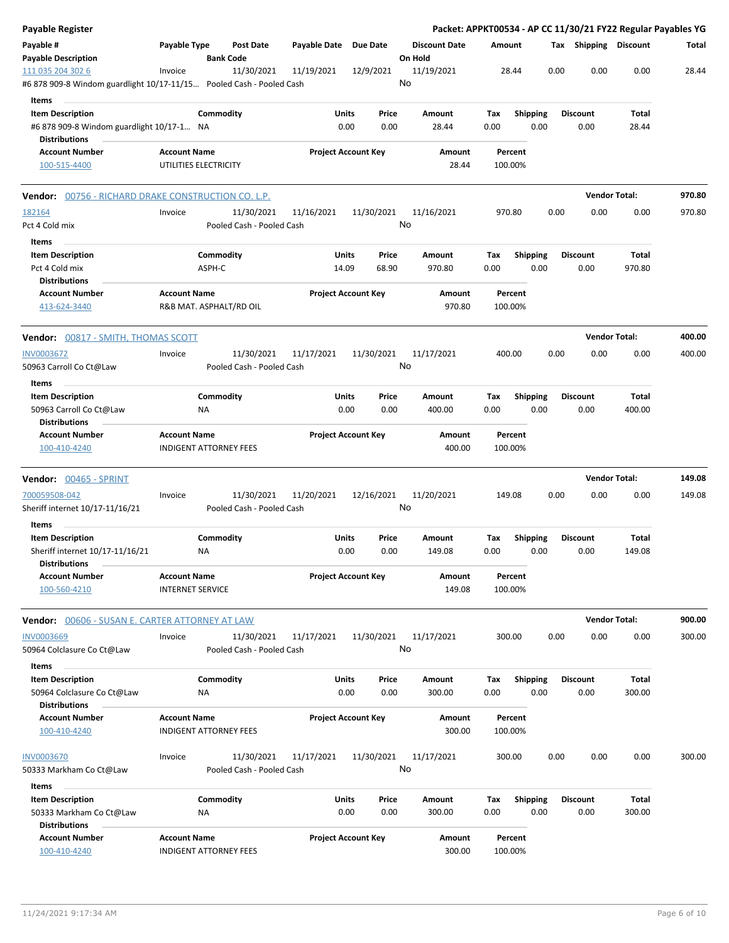| <b>Payable Register</b>                                                                   |                                                |                               |                                         |                       |                            |                  |                      |             |                 |      | Packet: APPKT00534 - AP CC 11/30/21 FY22 Regular Payables YG |                      |        |
|-------------------------------------------------------------------------------------------|------------------------------------------------|-------------------------------|-----------------------------------------|-----------------------|----------------------------|------------------|----------------------|-------------|-----------------|------|--------------------------------------------------------------|----------------------|--------|
| Payable #<br><b>Payable Description</b>                                                   | Payable Type                                   | <b>Bank Code</b>              | Post Date                               | Payable Date Due Date |                            | On Hold          | <b>Discount Date</b> | Amount      |                 |      | Tax Shipping Discount                                        |                      | Total  |
| 111 035 204 302 6<br>#6 878 909-8 Windom guardlight 10/17-11/15 Pooled Cash - Pooled Cash | Invoice                                        |                               | 11/30/2021                              | 11/19/2021            | 12/9/2021                  | 11/19/2021<br>No |                      |             | 28.44           | 0.00 | 0.00                                                         | 0.00                 | 28.44  |
| Items<br><b>Item Description</b>                                                          |                                                | Commodity                     |                                         | Units                 | Price                      | Amount           |                      | Tax         | <b>Shipping</b> |      | <b>Discount</b>                                              | Total                |        |
| #6 878 909-8 Windom guardlight 10/17-1 NA<br><b>Distributions</b>                         |                                                |                               |                                         | 0.00                  | 0.00                       |                  | 28.44                | 0.00        |                 | 0.00 | 0.00                                                         | 28.44                |        |
| <b>Account Number</b>                                                                     | <b>Account Name</b>                            |                               |                                         |                       | <b>Project Account Key</b> |                  | Amount               |             | Percent         |      |                                                              |                      |        |
| 100-515-4400                                                                              | UTILITIES ELECTRICITY                          |                               |                                         |                       |                            |                  | 28.44                | 100.00%     |                 |      |                                                              |                      |        |
| <b>Vendor:</b> 00756 - RICHARD DRAKE CONSTRUCTION CO. L.P.                                |                                                |                               |                                         |                       |                            |                  |                      |             |                 |      |                                                              | <b>Vendor Total:</b> | 970.80 |
| 182164<br>Pct 4 Cold mix                                                                  | Invoice                                        |                               | 11/30/2021<br>Pooled Cash - Pooled Cash | 11/16/2021            | 11/30/2021                 | 11/16/2021<br>No |                      | 970.80      |                 | 0.00 | 0.00                                                         | 0.00                 | 970.80 |
| Items                                                                                     |                                                |                               |                                         |                       |                            |                  |                      |             |                 |      |                                                              |                      |        |
| <b>Item Description</b>                                                                   |                                                | Commodity                     |                                         | Units                 | Price                      | Amount           |                      | Tax         | Shipping        |      | <b>Discount</b>                                              | Total                |        |
| Pct 4 Cold mix                                                                            |                                                | ASPH-C                        |                                         | 14.09                 | 68.90                      |                  | 970.80               | 0.00        |                 | 0.00 | 0.00                                                         | 970.80               |        |
| <b>Distributions</b>                                                                      |                                                |                               |                                         |                       |                            |                  |                      |             |                 |      |                                                              |                      |        |
| <b>Account Number</b><br>413-624-3440                                                     | <b>Account Name</b>                            | R&B MAT. ASPHALT/RD OIL       |                                         |                       | <b>Project Account Key</b> |                  | Amount<br>970.80     | 100.00%     | Percent         |      |                                                              |                      |        |
| <b>Vendor:</b> 00817 - SMITH, THOMAS SCOTT                                                |                                                |                               |                                         |                       |                            |                  |                      |             |                 |      |                                                              | <b>Vendor Total:</b> | 400.00 |
| <b>INV0003672</b><br>50963 Carroll Co Ct@Law                                              | Invoice                                        |                               | 11/30/2021<br>Pooled Cash - Pooled Cash | 11/17/2021            | 11/30/2021                 | 11/17/2021<br>No |                      | 400.00      |                 | 0.00 | 0.00                                                         | 0.00                 | 400.00 |
| Items                                                                                     |                                                |                               |                                         |                       |                            |                  |                      |             |                 |      |                                                              |                      |        |
| <b>Item Description</b>                                                                   |                                                | Commodity                     |                                         | Units                 | Price                      | Amount           |                      | Тах         | <b>Shipping</b> |      | <b>Discount</b>                                              | Total                |        |
| 50963 Carroll Co Ct@Law<br><b>Distributions</b>                                           |                                                | NA                            |                                         | 0.00                  | 0.00                       |                  | 400.00               | 0.00        |                 | 0.00 | 0.00                                                         | 400.00               |        |
| <b>Account Number</b>                                                                     | <b>Account Name</b>                            |                               |                                         |                       | <b>Project Account Key</b> |                  | Amount               |             | Percent         |      |                                                              |                      |        |
| 100-410-4240                                                                              |                                                | <b>INDIGENT ATTORNEY FEES</b> |                                         |                       |                            |                  | 400.00               | 100.00%     |                 |      |                                                              |                      |        |
| <b>Vendor:</b> 00465 - SPRINT                                                             |                                                |                               |                                         |                       |                            |                  |                      |             |                 |      |                                                              | <b>Vendor Total:</b> | 149.08 |
| 700059508-042<br>Sheriff internet 10/17-11/16/21                                          | Invoice                                        |                               | 11/30/2021<br>Pooled Cash - Pooled Cash | 11/20/2021            | 12/16/2021                 | 11/20/2021<br>No |                      | 149.08      |                 | 0.00 | 0.00                                                         | 0.00                 | 149.08 |
| Items<br><b>Item Description</b>                                                          |                                                | Commodity                     |                                         | Units                 | Price                      | Amount           |                      | Tax         | <b>Shipping</b> |      | <b>Discount</b>                                              | Total                |        |
| Sheriff internet 10/17-11/16/21<br><b>Distributions</b>                                   |                                                | ΝA                            |                                         | 0.00                  | 0.00                       |                  | 149.08               | 0.00        |                 | 0.00 | 0.00                                                         | 149.08               |        |
| <b>Account Number</b><br>100-560-4210                                                     | <b>Account Name</b><br><b>INTERNET SERVICE</b> |                               |                                         |                       | <b>Project Account Key</b> |                  | Amount<br>149.08     | 100.00%     | Percent         |      |                                                              |                      |        |
| <b>Vendor:</b> 00606 - SUSAN E. CARTER ATTORNEY AT LAW                                    |                                                |                               |                                         |                       |                            |                  |                      |             |                 |      |                                                              | <b>Vendor Total:</b> | 900.00 |
| <b>INV0003669</b><br>50964 Colclasure Co Ct@Law                                           | Invoice                                        |                               | 11/30/2021<br>Pooled Cash - Pooled Cash | 11/17/2021            | 11/30/2021                 | 11/17/2021<br>No |                      | 300.00      |                 | 0.00 | 0.00                                                         | 0.00                 | 300.00 |
| Items                                                                                     |                                                |                               |                                         |                       |                            |                  |                      |             |                 |      |                                                              |                      |        |
| <b>Item Description</b><br>50964 Colclasure Co Ct@Law<br><b>Distributions</b>             |                                                | Commodity<br>NA               |                                         | Units<br>0.00         | Price<br>0.00              | Amount           | 300.00               | Tax<br>0.00 | Shipping        | 0.00 | <b>Discount</b><br>0.00                                      | Total<br>300.00      |        |
| <b>Account Number</b>                                                                     | <b>Account Name</b>                            |                               |                                         |                       | <b>Project Account Key</b> |                  | Amount               |             | Percent         |      |                                                              |                      |        |
| 100-410-4240                                                                              |                                                | <b>INDIGENT ATTORNEY FEES</b> |                                         |                       |                            |                  | 300.00               | 100.00%     |                 |      |                                                              |                      |        |
| <b>INV0003670</b><br>50333 Markham Co Ct@Law                                              | Invoice                                        |                               | 11/30/2021<br>Pooled Cash - Pooled Cash | 11/17/2021            | 11/30/2021                 | 11/17/2021<br>No |                      | 300.00      |                 | 0.00 | 0.00                                                         | 0.00                 | 300.00 |
| Items                                                                                     |                                                |                               |                                         |                       |                            |                  |                      |             |                 |      |                                                              |                      |        |
| <b>Item Description</b>                                                                   |                                                | Commodity                     |                                         | Units                 | Price                      | Amount           |                      | Tax         | <b>Shipping</b> |      | <b>Discount</b>                                              | Total                |        |
| 50333 Markham Co Ct@Law<br><b>Distributions</b>                                           |                                                | ΝA                            |                                         | 0.00                  | 0.00                       |                  | 300.00               | 0.00        |                 | 0.00 | 0.00                                                         | 300.00               |        |
| <b>Account Number</b><br>100-410-4240                                                     | <b>Account Name</b>                            | <b>INDIGENT ATTORNEY FEES</b> |                                         |                       | <b>Project Account Key</b> |                  | Amount<br>300.00     | 100.00%     | Percent         |      |                                                              |                      |        |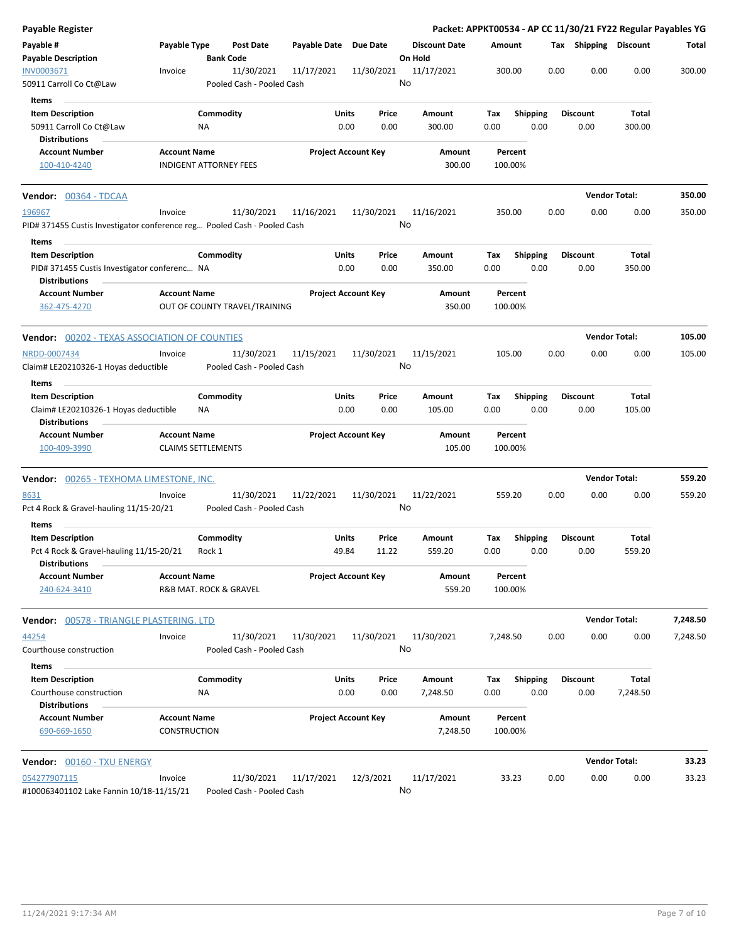| Payable Register                                                         |                                                      |                 |                                         |                            |               |                  |                                 |                    |                         |      |                         | Packet: APPKT00534 - AP CC 11/30/21 FY22 Regular Payables YG |          |
|--------------------------------------------------------------------------|------------------------------------------------------|-----------------|-----------------------------------------|----------------------------|---------------|------------------|---------------------------------|--------------------|-------------------------|------|-------------------------|--------------------------------------------------------------|----------|
| Payable #<br><b>Payable Description</b>                                  | Payable Type                                         |                 | <b>Post Date</b><br><b>Bank Code</b>    | Payable Date Due Date      |               |                  | <b>Discount Date</b><br>On Hold | Amount             |                         |      | Tax Shipping Discount   |                                                              | Total    |
| INV0003671<br>50911 Carroll Co Ct@Law                                    | Invoice                                              |                 | 11/30/2021<br>Pooled Cash - Pooled Cash | 11/17/2021                 |               | 11/30/2021<br>No | 11/17/2021                      | 300.00             |                         | 0.00 | 0.00                    | 0.00                                                         | 300.00   |
| Items                                                                    |                                                      |                 |                                         |                            |               |                  |                                 |                    |                         |      |                         |                                                              |          |
| <b>Item Description</b>                                                  |                                                      | Commodity       |                                         |                            | Units         | Price            | Amount                          | Tax                | <b>Shipping</b>         |      | <b>Discount</b>         | Total                                                        |          |
| 50911 Carroll Co Ct@Law<br><b>Distributions</b>                          |                                                      | ΝA              |                                         |                            | 0.00          | 0.00             | 300.00                          | 0.00               | 0.00                    |      | 0.00                    | 300.00                                                       |          |
| <b>Account Number</b><br>100-410-4240                                    | <b>Account Name</b><br><b>INDIGENT ATTORNEY FEES</b> |                 |                                         | <b>Project Account Key</b> |               |                  | Amount<br>300.00                | Percent<br>100.00% |                         |      |                         |                                                              |          |
| <b>Vendor:</b> 00364 - TDCAA                                             |                                                      |                 |                                         |                            |               |                  |                                 |                    |                         |      |                         | <b>Vendor Total:</b>                                         | 350.00   |
| 196967                                                                   | Invoice                                              |                 | 11/30/2021                              | 11/16/2021                 |               | 11/30/2021       | 11/16/2021                      | 350.00             |                         | 0.00 | 0.00                    | 0.00                                                         | 350.00   |
| PID# 371455 Custis Investigator conference reg Pooled Cash - Pooled Cash |                                                      |                 |                                         |                            |               | No               |                                 |                    |                         |      |                         |                                                              |          |
| Items                                                                    |                                                      |                 |                                         |                            |               |                  |                                 |                    |                         |      |                         |                                                              |          |
| <b>Item Description</b>                                                  |                                                      | Commodity       |                                         |                            | Units         | Price            | Amount                          | Tax                | Shipping                |      | <b>Discount</b>         | Total                                                        |          |
| PID# 371455 Custis Investigator conferenc NA                             |                                                      |                 |                                         |                            | 0.00          | 0.00             | 350.00                          | 0.00               | 0.00                    |      | 0.00                    | 350.00                                                       |          |
| <b>Distributions</b>                                                     |                                                      |                 |                                         |                            |               |                  |                                 |                    |                         |      |                         |                                                              |          |
| <b>Account Number</b><br>362-475-4270                                    | <b>Account Name</b>                                  |                 | OUT OF COUNTY TRAVEL/TRAINING           | <b>Project Account Key</b> |               |                  | Amount<br>350.00                | Percent<br>100.00% |                         |      |                         |                                                              |          |
| <b>Vendor:</b> 00202 - TEXAS ASSOCIATION OF COUNTIES                     |                                                      |                 |                                         |                            |               |                  |                                 |                    |                         |      |                         | <b>Vendor Total:</b>                                         | 105.00   |
| NRDD-0007434                                                             | Invoice                                              |                 | 11/30/2021                              | 11/15/2021                 |               | 11/30/2021       | 11/15/2021                      | 105.00             |                         | 0.00 | 0.00                    | 0.00                                                         | 105.00   |
| Claim# LE20210326-1 Hoyas deductible                                     |                                                      |                 | Pooled Cash - Pooled Cash               |                            |               | No               |                                 |                    |                         |      |                         |                                                              |          |
| Items                                                                    |                                                      |                 |                                         |                            |               |                  |                                 |                    |                         |      |                         |                                                              |          |
| <b>Item Description</b><br>Claim# LE20210326-1 Hoyas deductible          |                                                      | Commodity<br>ΝA |                                         |                            | Units<br>0.00 | Price<br>0.00    | Amount<br>105.00                | Tax<br>0.00        | <b>Shipping</b><br>0.00 |      | <b>Discount</b><br>0.00 | Total<br>105.00                                              |          |
| <b>Distributions</b><br><b>Account Number</b>                            | <b>Account Name</b>                                  |                 |                                         | <b>Project Account Key</b> |               |                  | Amount                          | Percent            |                         |      |                         |                                                              |          |
| 100-409-3990                                                             | <b>CLAIMS SETTLEMENTS</b>                            |                 |                                         |                            |               |                  | 105.00                          | 100.00%            |                         |      |                         |                                                              |          |
| <b>Vendor:</b> 00265 - TEXHOMA LIMESTONE, INC.                           |                                                      |                 |                                         |                            |               |                  |                                 |                    |                         |      |                         | <b>Vendor Total:</b>                                         | 559.20   |
| 8631<br>Pct 4 Rock & Gravel-hauling 11/15-20/21                          | Invoice                                              |                 | 11/30/2021<br>Pooled Cash - Pooled Cash | 11/22/2021                 |               | 11/30/2021<br>No | 11/22/2021                      | 559.20             |                         | 0.00 | 0.00                    | 0.00                                                         | 559.20   |
| Items<br><b>Item Description</b>                                         |                                                      | Commodity       |                                         |                            | Units         | Price            | Amount                          | Tax                | <b>Shipping</b>         |      | <b>Discount</b>         | Total                                                        |          |
| Pct 4 Rock & Gravel-hauling 11/15-20/21<br><b>Distributions</b>          |                                                      | Rock 1          |                                         |                            | 49.84         | 11.22            | 559.20                          | 0.00               | 0.00                    |      | 0.00                    | 559.20                                                       |          |
| <b>Account Number</b><br>240-624-3410                                    | <b>Account Name</b><br>R&B MAT. ROCK & GRAVEL        |                 |                                         | <b>Project Account Key</b> |               |                  | Amount<br>559.20                | Percent<br>100.00% |                         |      |                         |                                                              |          |
| <b>Vendor:</b> 00578 - TRIANGLE PLASTERING, LTD                          |                                                      |                 |                                         |                            |               |                  |                                 |                    |                         |      |                         | <b>Vendor Total:</b>                                         | 7,248.50 |
| 44254                                                                    | Invoice                                              |                 | 11/30/2021                              | 11/30/2021                 |               | 11/30/2021       | 11/30/2021                      | 7,248.50           |                         | 0.00 | 0.00                    | 0.00                                                         | 7,248.50 |
| Courthouse construction<br>Items                                         |                                                      |                 | Pooled Cash - Pooled Cash               |                            |               | No               |                                 |                    |                         |      |                         |                                                              |          |
| <b>Item Description</b>                                                  |                                                      | Commodity       |                                         |                            | Units         | Price            | Amount                          | Tax                | <b>Shipping</b>         |      | <b>Discount</b>         | Total                                                        |          |
| Courthouse construction<br><b>Distributions</b>                          |                                                      | ΝA              |                                         |                            | 0.00          | 0.00             | 7,248.50                        | 0.00               | 0.00                    |      | 0.00                    | 7,248.50                                                     |          |
| <b>Account Number</b><br>690-669-1650                                    | <b>Account Name</b><br>CONSTRUCTION                  |                 |                                         | <b>Project Account Key</b> |               |                  | Amount<br>7,248.50              | Percent<br>100.00% |                         |      |                         |                                                              |          |
| <b>Vendor:</b> 00160 - TXU ENERGY                                        |                                                      |                 |                                         |                            |               |                  |                                 |                    |                         |      |                         | <b>Vendor Total:</b>                                         | 33.23    |
| 054277907115<br>#100063401102 Lake Fannin 10/18-11/15/21                 | Invoice                                              |                 | 11/30/2021<br>Pooled Cash - Pooled Cash | 11/17/2021                 |               | 12/3/2021<br>No  | 11/17/2021                      | 33.23              |                         | 0.00 | 0.00                    | 0.00                                                         | 33.23    |
|                                                                          |                                                      |                 |                                         |                            |               |                  |                                 |                    |                         |      |                         |                                                              |          |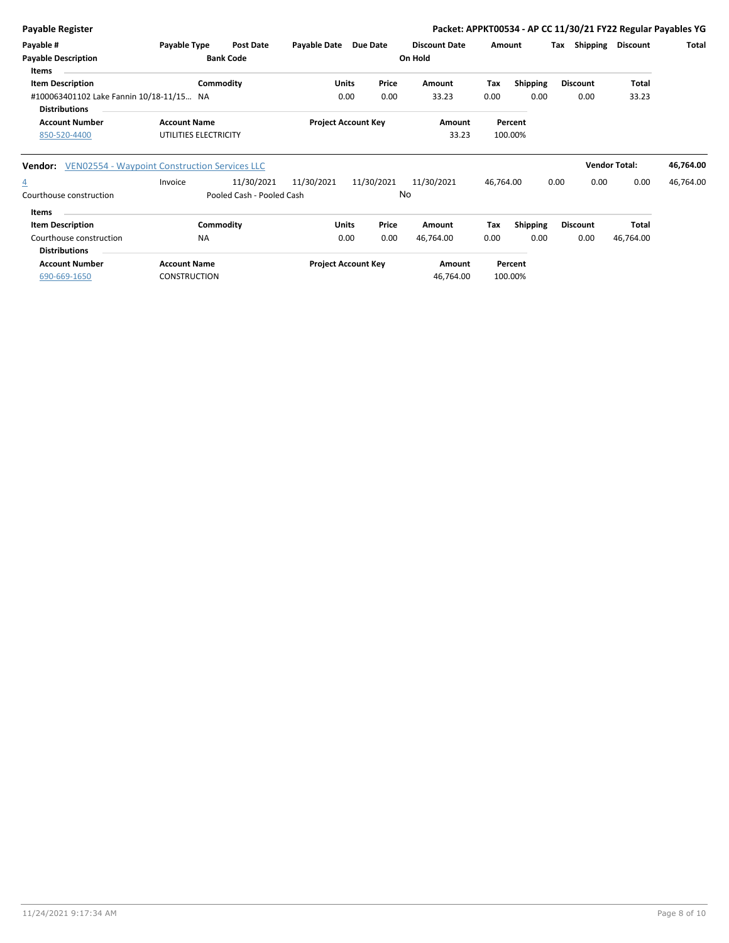| <b>Payable Register</b>                                          |                       |                           |                     |                            |       |                      |           |                 |      |                 |                      | Packet: APPKT00534 - AP CC 11/30/21 FY22 Regular Payables YG |
|------------------------------------------------------------------|-----------------------|---------------------------|---------------------|----------------------------|-------|----------------------|-----------|-----------------|------|-----------------|----------------------|--------------------------------------------------------------|
| Payable #                                                        | Payable Type          | <b>Post Date</b>          | <b>Payable Date</b> | Due Date                   |       | <b>Discount Date</b> | Amount    |                 | Tax  | Shipping        | <b>Discount</b>      | <b>Total</b>                                                 |
| <b>Payable Description</b><br><b>Items</b>                       |                       | <b>Bank Code</b>          |                     |                            |       | On Hold              |           |                 |      |                 |                      |                                                              |
| <b>Item Description</b>                                          | Commodity             |                           |                     | <b>Units</b>               | Price | Amount               | Tax       | <b>Shipping</b> |      | <b>Discount</b> | Total                |                                                              |
| #100063401102 Lake Fannin 10/18-11/15 NA<br><b>Distributions</b> |                       |                           |                     | 0.00                       | 0.00  | 33.23                | 0.00      | 0.00            |      | 0.00            | 33.23                |                                                              |
| <b>Account Number</b>                                            | <b>Account Name</b>   |                           |                     | <b>Project Account Key</b> |       | Amount               |           | Percent         |      |                 |                      |                                                              |
| 850-520-4400                                                     | UTILITIES ELECTRICITY |                           |                     |                            |       | 33.23                |           | 100.00%         |      |                 |                      |                                                              |
| VEN02554 - Waypoint Construction Services LLC<br>Vendor:         |                       |                           |                     |                            |       |                      |           |                 |      |                 | <b>Vendor Total:</b> | 46,764.00                                                    |
| $\overline{4}$                                                   | Invoice               | 11/30/2021                | 11/30/2021          | 11/30/2021                 |       | 11/30/2021           | 46,764.00 |                 | 0.00 | 0.00            | 0.00                 | 46,764.00                                                    |
| Courthouse construction                                          |                       | Pooled Cash - Pooled Cash |                     |                            |       | No                   |           |                 |      |                 |                      |                                                              |
| <b>Items</b>                                                     |                       |                           |                     |                            |       |                      |           |                 |      |                 |                      |                                                              |
| <b>Item Description</b>                                          | Commodity             |                           |                     | <b>Units</b>               | Price | Amount               | Tax       | Shipping        |      | <b>Discount</b> | Total                |                                                              |
| Courthouse construction<br><b>Distributions</b>                  | <b>NA</b>             |                           |                     | 0.00                       | 0.00  | 46,764.00            | 0.00      | 0.00            |      | 0.00            | 46,764.00            |                                                              |
| <b>Account Number</b>                                            | <b>Account Name</b>   |                           |                     | <b>Project Account Key</b> |       | Amount               |           | Percent         |      |                 |                      |                                                              |
| 690-669-1650                                                     | <b>CONSTRUCTION</b>   |                           |                     |                            |       | 46,764.00            |           | 100.00%         |      |                 |                      |                                                              |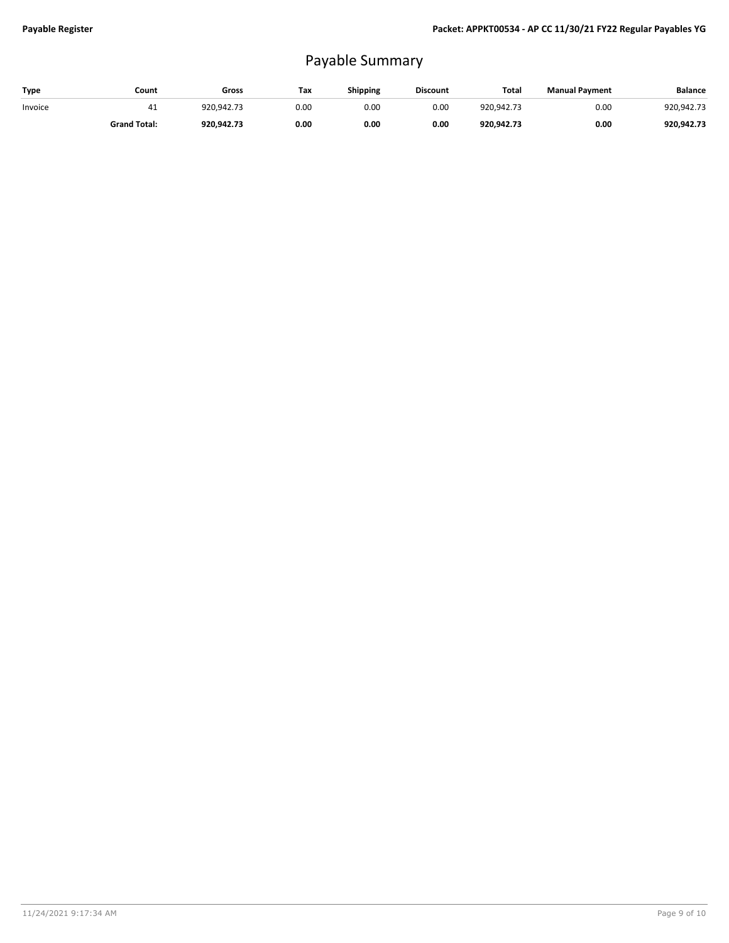## Payable Summary

| Type    | Count               | Gross      | Tax  | Shipping | <b>Discount</b> | Total      | <b>Manual Payment</b> | <b>Balance</b> |
|---------|---------------------|------------|------|----------|-----------------|------------|-----------------------|----------------|
| Invoice | 41                  | 920.942.73 | 0.00 | 0.00     | 0.00            | 920.942.73 | 0.00                  | 920.942.73     |
|         | <b>Grand Total:</b> | 920.942.73 | 0.00 | 0.00     | 0.00            | 920.942.73 | 0.00                  | 920.942.73     |